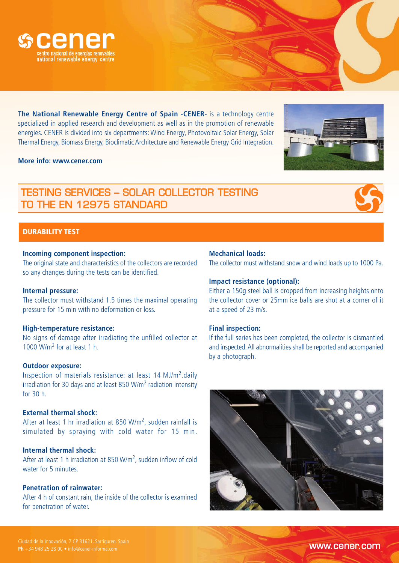

**The National Renewable Energy Centre of Spain -CENER-** is a technology centre specialized in applied research and development as well as in the promotion of renewable energies. CENER is divided into six departments: Wind Energy, Photovoltaic Solar Energy, Solar Thermal Energy, Biomass Energy, Bioclimatic Architecture and Renewable Energy Grid Integration.

### **More info: www.cener.com**

# TESTING SERVICES – SOLAR COLLECTOR TESTING TO THE EN 12975 STANDARD



## **Incoming component inspection:**

The original state and characteristics of the collectors are recorded so any changes during the tests can be identified.

### **Internal pressure:**

The collector must withstand 1.5 times the maximal operating pressure for 15 min with no deformation or loss.

### **High-temperature resistance:**

No signs of damage after irradiating the unfilled collector at 1000 W/m<sup>2</sup> for at least 1 h.

### **Outdoor exposure:**

Inspection of materials resistance: at least 14 MJ/m<sup>2</sup>.daily irradiation for 30 days and at least 850 W/m<sup>2</sup> radiation intensity for 30 h.

### **External thermal shock:**

After at least 1 hr irradiation at 850 W/m<sup>2</sup>, sudden rainfall is simulated by spraying with cold water for 15 min.

# **Internal thermal shock:**

After at least 1 h irradiation at 850 W/m<sup>2</sup>, sudden inflow of cold water for 5 minutes.

# **Penetration of rainwater:**

After 4 h of constant rain, the inside of the collector is examined for penetration of water.

### **Mechanical loads:**

The collector must withstand snow and wind loads up to 1000 Pa.

### **Impact resistance (optional):**

Either a 150g steel ball is dropped from increasing heights onto the collector cover or 25mm ice balls are shot at a corner of it at a speed of 23 m/s.

### **Final inspection:**

If the full series has been completed, the collector is dismantled and inspected. All abnormalities shall be reported and accompanied by a photograph.